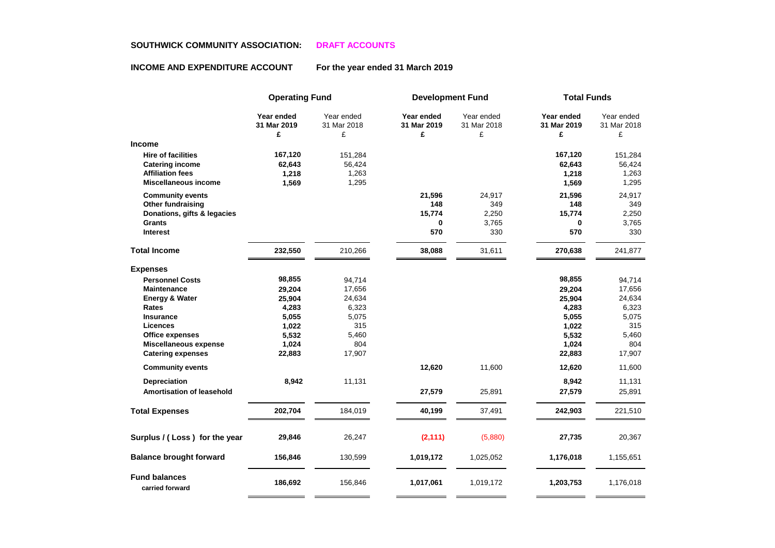## **SOUTHWICK COMMUNITY ASSOCIATION: DRAFT ACCOUNTS**

## **INCOME AND EXPENDITURE ACCOUNT For the year ended 31 March 2019**

|                                                                                                               | <b>Operating Fund</b>               |                                     | <b>Development Fund</b>        |                                | <b>Total Funds</b>                  |                                     |
|---------------------------------------------------------------------------------------------------------------|-------------------------------------|-------------------------------------|--------------------------------|--------------------------------|-------------------------------------|-------------------------------------|
|                                                                                                               | Year ended<br>31 Mar 2019<br>£      | Year ended<br>31 Mar 2018<br>£      | Year ended<br>31 Mar 2019<br>£ | Year ended<br>31 Mar 2018<br>£ | Year ended<br>31 Mar 2019<br>£      | Year ended<br>31 Mar 2018<br>£      |
| <b>Income</b>                                                                                                 |                                     |                                     |                                |                                |                                     |                                     |
| <b>Hire of facilities</b><br><b>Catering income</b><br><b>Affiliation fees</b><br><b>Miscellaneous income</b> | 167,120<br>62,643<br>1,218<br>1,569 | 151,284<br>56,424<br>1,263<br>1,295 |                                |                                | 167,120<br>62,643<br>1,218<br>1,569 | 151,284<br>56,424<br>1,263<br>1,295 |
| <b>Community events</b>                                                                                       |                                     |                                     | 21,596                         | 24,917                         | 21,596                              | 24,917                              |
| Other fundraising                                                                                             |                                     |                                     | 148                            | 349                            | 148                                 | 349                                 |
| Donations, gifts & legacies                                                                                   |                                     |                                     | 15,774                         | 2,250                          | 15,774                              | 2,250                               |
| <b>Grants</b><br><b>Interest</b>                                                                              |                                     |                                     | 0<br>570                       | 3,765<br>330                   | 0<br>570                            | 3,765<br>330                        |
| <b>Total Income</b>                                                                                           | 232,550                             | 210,266                             | 38,088                         | 31,611                         | 270,638                             | 241,877                             |
| <b>Expenses</b>                                                                                               |                                     |                                     |                                |                                |                                     |                                     |
| <b>Personnel Costs</b>                                                                                        | 98,855                              | 94,714                              |                                |                                | 98,855                              | 94,714                              |
| <b>Maintenance</b>                                                                                            | 29,204                              | 17,656                              |                                |                                | 29,204                              | 17,656                              |
| <b>Energy &amp; Water</b>                                                                                     | 25,904                              | 24,634                              |                                |                                | 25,904                              | 24,634                              |
| Rates                                                                                                         | 4,283                               | 6,323                               |                                |                                | 4,283                               | 6,323                               |
| <b>Insurance</b>                                                                                              | 5,055                               | 5,075                               |                                |                                | 5,055                               | 5,075                               |
| Licences                                                                                                      | 1,022                               | 315                                 |                                |                                | 1,022                               | 315                                 |
| Office expenses                                                                                               | 5,532                               | 5,460                               |                                |                                | 5,532                               | 5,460                               |
| <b>Miscellaneous expense</b>                                                                                  | 1,024                               | 804                                 |                                |                                | 1,024                               | 804                                 |
| <b>Catering expenses</b>                                                                                      | 22,883                              | 17,907                              |                                |                                | 22,883                              | 17,907                              |
| <b>Community events</b>                                                                                       |                                     |                                     | 12,620                         | 11,600                         | 12,620                              | 11,600                              |
| <b>Depreciation</b>                                                                                           | 8,942                               | 11,131                              |                                |                                | 8,942                               | 11,131                              |
| <b>Amortisation of leasehold</b>                                                                              |                                     |                                     | 27,579                         | 25,891                         | 27,579                              | 25,891                              |
| <b>Total Expenses</b>                                                                                         | 202,704                             | 184,019                             | 40,199                         | 37,491                         | 242,903                             | 221,510                             |
| Surplus / (Loss) for the year                                                                                 | 29,846                              | 26,247                              | (2, 111)                       | (5,880)                        | 27,735                              | 20,367                              |
| <b>Balance brought forward</b>                                                                                | 156,846                             | 130,599                             | 1,019,172                      | 1,025,052                      | 1,176,018                           | 1,155,651                           |
| <b>Fund balances</b><br>carried forward                                                                       | 186,692                             | 156,846                             | 1,017,061                      | 1,019,172                      | 1,203,753                           | 1,176,018                           |